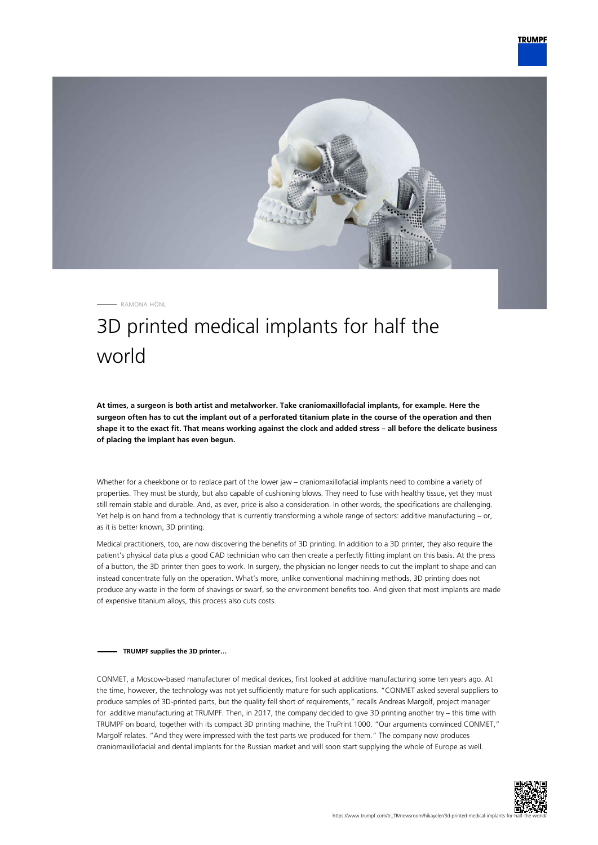

RAMONA HÖNL

## 3D printed medical implants for half the world

**At times, a surgeon is both artist and metalworker. Take craniomaxillofacial implants, for example. Here the surgeon often has to cut the implant out of a perforated titanium plate in the course of the operation and then shape it to the exact fit. That means working against the clock and added stress – all before the delicate business of placing the implant has even begun.**

Whether for a cheekbone or to replace part of the lower jaw – craniomaxillofacial implants need to combine a variety of properties. They must be sturdy, but also capable of cushioning blows. They need to fuse with healthy tissue, yet they must still remain stable and durable. And, as ever, price is also a consideration. In other words, the specifications are challenging. Yet help is on hand from a technology that is currently transforming a whole range of sectors: additive manufacturing – or, as it is better known, 3D printing.

Medical practitioners, too, are now discovering the benefits of 3D printing. In addition to a 3D printer, they also require the patient's physical data plus a good CAD technician who can then create a perfectly fitting implant on this basis. At the press of a button, the 3D printer then goes to work. In surgery, the physician no longer needs to cut the implant to shape and can instead concentrate fully on the operation. What's more, unlike conventional machining methods, 3D printing does not produce any waste in the form of shavings or swarf, so the environment benefits too. And given that most implants are made of expensive titanium alloys, this process also cuts costs.

## **TRUMPF supplies the 3D printer…**

CONMET, a Moscow-based manufacturer of medical devices, first looked at additive manufacturing some ten years ago. At the time, however, the technology was not yet sufficiently mature for such applications. "CONMET asked several suppliers to produce samples of 3D-printed parts, but the quality fell short of requirements," recalls Andreas Margolf, project manager for additive manufacturing at TRUMPF. Then, in 2017, the company decided to give 3D printing another try – this time with TRUMPF on board, together with its compact 3D printing machine, the TruPrint 1000. "Our arguments convinced CONMET," Margolf relates. "And they were impressed with the test parts we produced for them." The company now produces craniomaxillofacial and dental implants for the Russian market and will soon start supplying the whole of Europe as well.